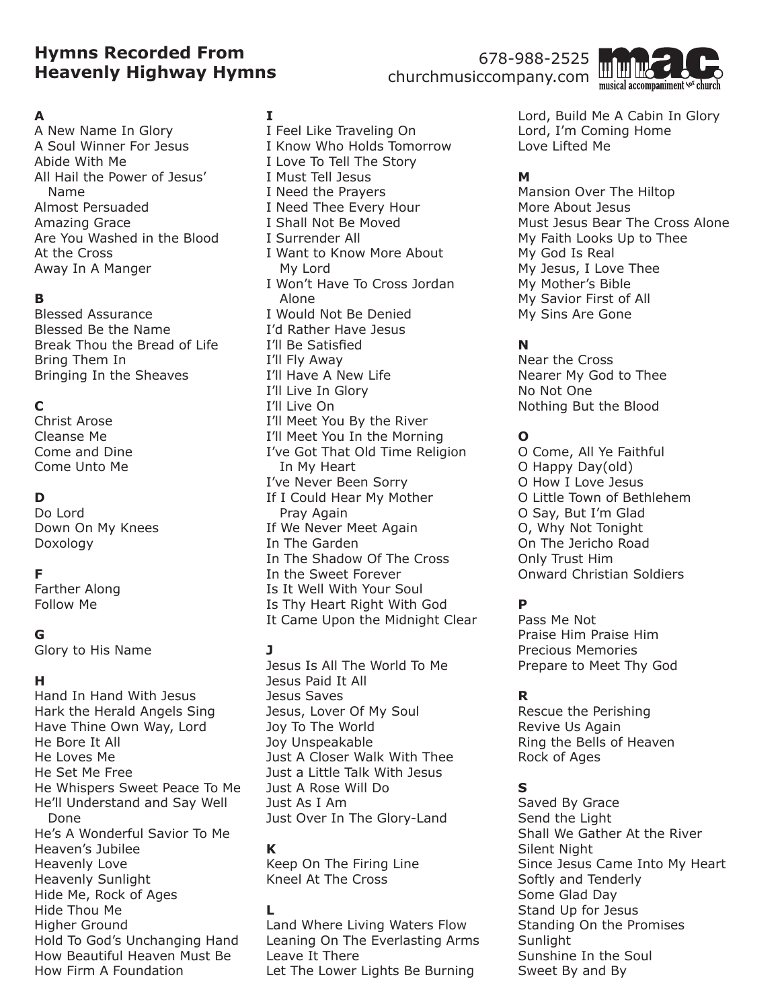# **Hymns Recorded From Heavenly Highway Hymns**

### 678-988-2525 churchmusiccompany.com



### **A**

A New Name In Glory A Soul Winner For Jesus Abide With Me All Hail the Power of Jesus' Name Almost Persuaded Amazing Grace Are You Washed in the Blood At the Cross Away In A Manger

### **B**

Blessed Assurance Blessed Be the Name Break Thou the Bread of Life Bring Them In Bringing In the Sheaves

# **C**

Christ Arose Cleanse Me Come and Dine Come Unto Me

## **D**

Do Lord Down On My Knees Doxology

### **F**

Farther Along Follow Me

### **G**

Glory to His Name

### **H**

Hand In Hand With Jesus Hark the Herald Angels Sing Have Thine Own Way, Lord He Bore It All He Loves Me He Set Me Free He Whispers Sweet Peace To Me He'll Understand and Say Well Done He's A Wonderful Savior To Me Heaven's Jubilee Heavenly Love Heavenly Sunlight Hide Me, Rock of Ages Hide Thou Me Higher Ground Hold To God's Unchanging Hand How Beautiful Heaven Must Be How Firm A Foundation

### **I**

I Feel Like Traveling On I Know Who Holds Tomorrow I Love To Tell The Story I Must Tell Jesus I Need the Prayers I Need Thee Every Hour I Shall Not Be Moved I Surrender All I Want to Know More About My Lord I Won't Have To Cross Jordan Alone I Would Not Be Denied I'd Rather Have Jesus I'll Be Satisfied I'll Fly Away I'll Have A New Life I'll Live In Glory I'll Live On I'll Meet You By the River I'll Meet You In the Morning I've Got That Old Time Religion In My Heart I've Never Been Sorry If I Could Hear My Mother Pray Again If We Never Meet Again In The Garden In The Shadow Of The Cross In the Sweet Forever Is It Well With Your Soul Is Thy Heart Right With God It Came Upon the Midnight Clear

### **J**

Jesus Is All The World To Me Jesus Paid It All Jesus Saves Jesus, Lover Of My Soul Joy To The World Joy Unspeakable Just A Closer Walk With Thee Just a Little Talk With Jesus Just A Rose Will Do Just As I Am Just Over In The Glory-Land

### **K**

Keep On The Firing Line Kneel At The Cross

#### **L**

Land Where Living Waters Flow Leaning On The Everlasting Arms Leave It There Let The Lower Lights Be Burning

Lord, Build Me A Cabin In Glory Lord, I'm Coming Home Love Lifted Me

## **M**

Mansion Over The Hiltop More About Jesus Must Jesus Bear The Cross Alone My Faith Looks Up to Thee My God Is Real My Jesus, I Love Thee My Mother's Bible My Savior First of All My Sins Are Gone

# **N**

Near the Cross Nearer My God to Thee No Not One Nothing But the Blood

### **O**

O Come, All Ye Faithful O Happy Day(old) O How I Love Jesus O Little Town of Bethlehem O Say, But I'm Glad O, Why Not Tonight On The Jericho Road Only Trust Him Onward Christian Soldiers

# **P**

Pass Me Not Praise Him Praise Him Precious Memories Prepare to Meet Thy God

### **R**

Rescue the Perishing Revive Us Again Ring the Bells of Heaven Rock of Ages

### **S**

Saved By Grace Send the Light Shall We Gather At the River Silent Night Since Jesus Came Into My Heart Softly and Tenderly Some Glad Day Stand Up for Jesus Standing On the Promises Sunlight Sunshine In the Soul Sweet By and By